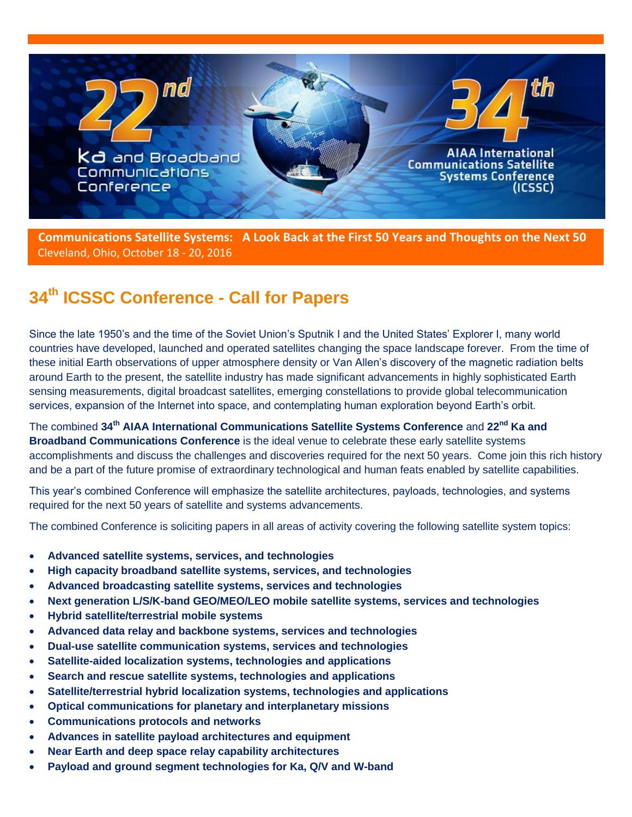

 **Communications Satellite Systems: A Look Back at the First 50 Years and Thoughts on the Next 50** Cleveland, Ohio, October 18 - 20, 2016

## **34th ICSSC Conference - Call for Papers**

Since the late 1950's and the time of the Soviet Union's Sputnik I and the United States' Explorer I, many world countries have developed, launched and operated satellites changing the space landscape forever. From the time of these initial Earth observations of upper atmosphere density or Van Allen's discovery of the magnetic radiation belts around Earth to the present, the satellite industry has made significant advancements in highly sophisticated Earth sensing measurements, digital broadcast satellites, emerging constellations to provide global telecommunication services, expansion of the Internet into space, and contemplating human exploration beyond Earth's orbit.

The combined **34th AIAA International Communications Satellite Systems Conference** and **22nd Ka and Broadband Communications Conference** is the ideal venue to celebrate these early satellite systems accomplishments and discuss the challenges and discoveries required for the next 50 years. Come join this rich history and be a part of the future promise of extraordinary technological and human feats enabled by satellite capabilities.

This year's combined Conference will emphasize the satellite architectures, payloads, technologies, and systems required for the next 50 years of satellite and systems advancements.

The combined Conference is soliciting papers in all areas of activity covering the following satellite system topics:

- **Advanced satellite systems, services, and technologies**
- **High capacity broadband satellite systems, services, and technologies**
- **Advanced broadcasting satellite systems, services and technologies**
- **Next generation L/S/K-band GEO/MEO/LEO mobile satellite systems, services and technologies**
- **Hybrid satellite/terrestrial mobile systems**
- **Advanced data relay and backbone systems, services and technologies**
- **Dual-use satellite communication systems, services and technologies**
- **Satellite-aided localization systems, technologies and applications**
- **Search and rescue satellite systems, technologies and applications**
- **Satellite/terrestrial hybrid localization systems, technologies and applications**
- **Optical communications for planetary and interplanetary missions**
- **Communications protocols and networks**
- **Advances in satellite payload architectures and equipment**
- **Near Earth and deep space relay capability architectures**
- **Payload and ground segment technologies for Ka, Q/V and W-band**